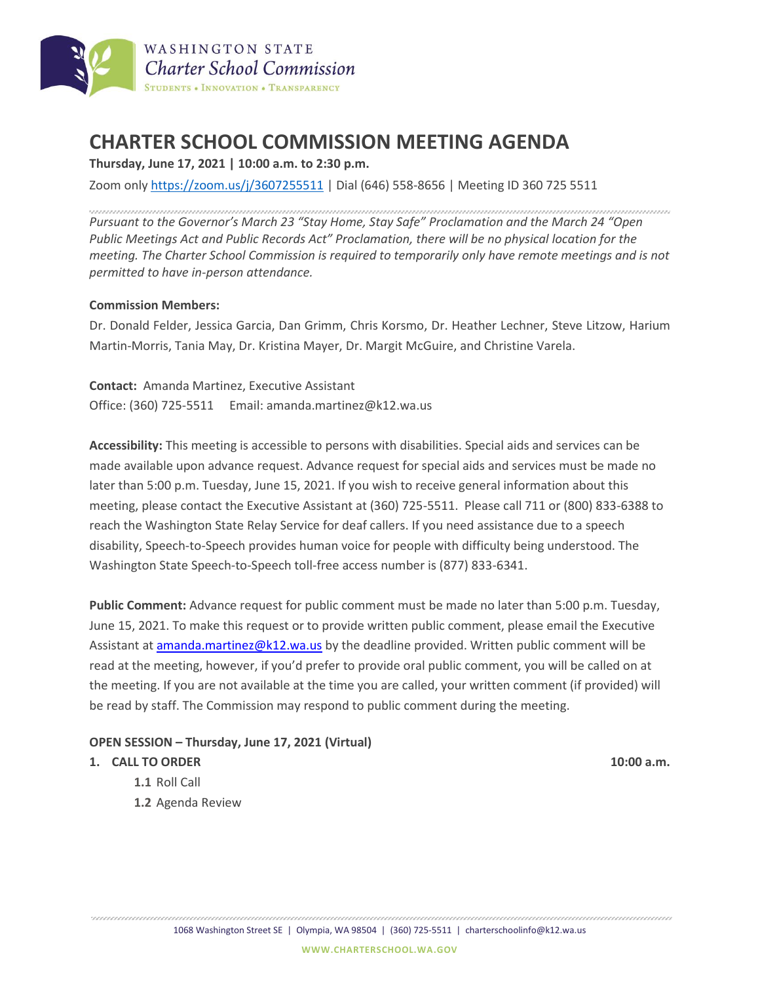

# **CHARTER SCHOOL COMMISSION MEETING AGENDA**

**Thursday, June 17, 2021 | 10:00 a.m. to 2:30 p.m.**

Zoom only <https://zoom.us/j/3607255511> | Dial (646) 558-8656 | Meeting ID 360 725 5511

*Pursuant to the Governor's March 23 "Stay Home, Stay Safe" Proclamation and the March 24 "Open Public Meetings Act and Public Records Act" Proclamation, there will be no physical location for the meeting. The Charter School Commission is required to temporarily only have remote meetings and is not permitted to have in-person attendance.*

#### **Commission Members:**

Dr. Donald Felder, Jessica Garcia, Dan Grimm, Chris Korsmo, Dr. Heather Lechner, Steve Litzow, Harium Martin-Morris, Tania May, Dr. Kristina Mayer, Dr. Margit McGuire, and Christine Varela.

**Contact:** Amanda Martinez, Executive Assistant Office: (360) 725-5511 Email: amanda.martinez@k12.wa.us

**Accessibility:** This meeting is accessible to persons with disabilities. Special aids and services can be made available upon advance request. Advance request for special aids and services must be made no later than 5:00 p.m. Tuesday, June 15, 2021. If you wish to receive general information about this meeting, please contact the Executive Assistant at (360) 725-5511. Please call 711 or (800) 833-6388 to reach the Washington State Relay Service for deaf callers. If you need assistance due to a speech disability, Speech-to-Speech provides human voice for people with difficulty being understood. The Washington State Speech-to-Speech toll-free access number is (877) 833-6341.

**Public Comment:** Advance request for public comment must be made no later than 5:00 p.m. Tuesday, June 15, 2021. To make this request or to provide written public comment, please email the Executive Assistant at [amanda.martinez@k12.wa.us](mailto:amanda.martinez@k12.wa.us) by the deadline provided. Written public comment will be read at the meeting, however, if you'd prefer to provide oral public comment, you will be called on at the meeting. If you are not available at the time you are called, your written comment (if provided) will be read by staff. The Commission may respond to public comment during the meeting.

#### **OPEN SESSION – Thursday, June 17, 2021 (Virtual)**

#### **1. CALL TO ORDER 10:00 a.m.**

- **1.1** Roll Call
- **1.2** Agenda Review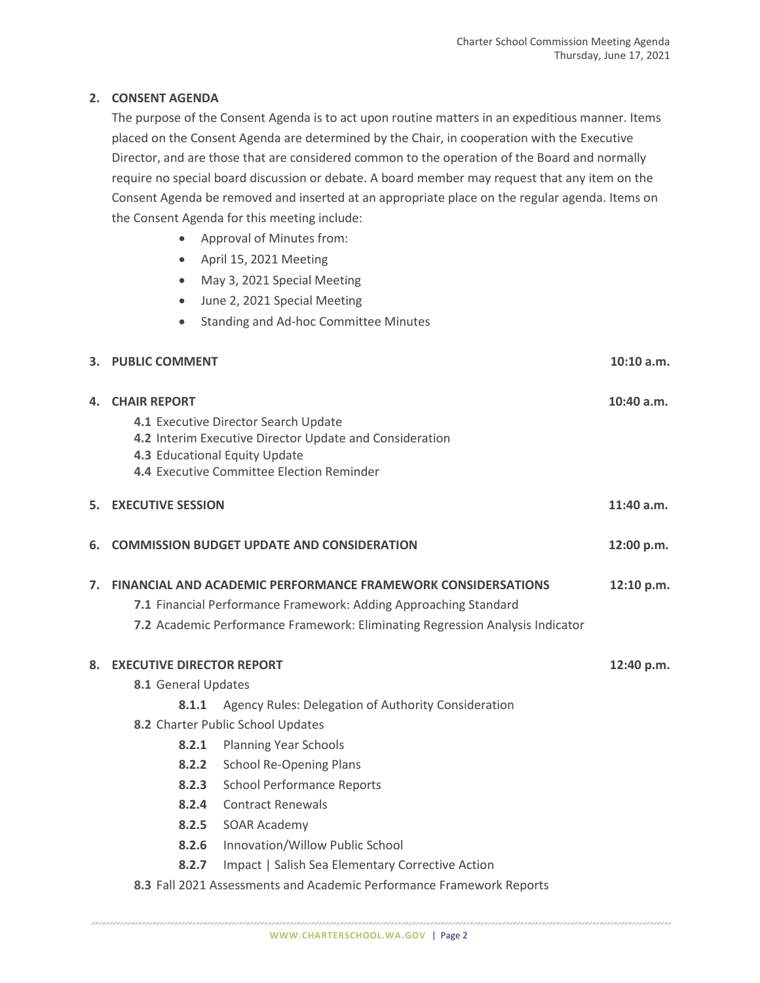### **2. CONSENT AGENDA**

The purpose of the Consent Agenda is to act upon routine matters in an expeditious manner. Items placed on the Consent Agenda are determined by the Chair, in cooperation with the Executive Director, and are those that are considered common to the operation of the Board and normally require no special board discussion or debate. A board member may request that any item on the Consent Agenda be removed and inserted at an appropriate place on the regular agenda. Items on the Consent Agenda for this meeting include:

- Approval of Minutes from:
- April 15, 2021 Meeting
- May 3, 2021 Special Meeting
- June 2, 2021 Special Meeting
- Standing and Ad-hoc Committee Minutes

| 3. PUBLIC COMMENT | $10:10$ a.m. |
|-------------------|--------------|
|                   |              |

|    | <b>4. CHAIR REPORT</b>                                                                                                                                                                                                   | 4.1 Executive Director Search Update<br>4.2 Interim Executive Director Update and Consideration<br>4.3 Educational Equity Update<br>4.4 Executive Committee Election Reminder | $10:40$ a.m. |
|----|--------------------------------------------------------------------------------------------------------------------------------------------------------------------------------------------------------------------------|-------------------------------------------------------------------------------------------------------------------------------------------------------------------------------|--------------|
|    | <b>5. EXECUTIVE SESSION</b>                                                                                                                                                                                              |                                                                                                                                                                               | $11:40$ a.m. |
| 6. |                                                                                                                                                                                                                          | <b>COMMISSION BUDGET UPDATE AND CONSIDERATION</b>                                                                                                                             | 12:00 p.m.   |
| 7. | <b>FINANCIAL AND ACADEMIC PERFORMANCE FRAMEWORK CONSIDERSATIONS</b><br>7.1 Financial Performance Framework: Adding Approaching Standard<br>7.2 Academic Performance Framework: Eliminating Regression Analysis Indicator |                                                                                                                                                                               |              |
| 8. | <b>EXECUTIVE DIRECTOR REPORT</b>                                                                                                                                                                                         |                                                                                                                                                                               | 12:40 p.m.   |
|    | 8.1 General Updates                                                                                                                                                                                                      |                                                                                                                                                                               |              |
|    | 8.1.1                                                                                                                                                                                                                    | Agency Rules: Delegation of Authority Consideration                                                                                                                           |              |
|    | 8.2 Charter Public School Updates                                                                                                                                                                                        |                                                                                                                                                                               |              |
|    | 8.2.1                                                                                                                                                                                                                    | <b>Planning Year Schools</b>                                                                                                                                                  |              |
|    | 8.2.2                                                                                                                                                                                                                    | <b>School Re-Opening Plans</b>                                                                                                                                                |              |
|    | 8.2.3                                                                                                                                                                                                                    | <b>School Performance Reports</b>                                                                                                                                             |              |
|    | 8.2.4                                                                                                                                                                                                                    | <b>Contract Renewals</b>                                                                                                                                                      |              |
|    |                                                                                                                                                                                                                          | 8.2.5 SOAR Academy                                                                                                                                                            |              |
|    | 8.2.6                                                                                                                                                                                                                    | Innovation/Willow Public School                                                                                                                                               |              |
|    | 8.2.7                                                                                                                                                                                                                    | Impact   Salish Sea Elementary Corrective Action                                                                                                                              |              |
|    |                                                                                                                                                                                                                          | 8.3 Fall 2021 Assessments and Academic Performance Framework Reports                                                                                                          |              |